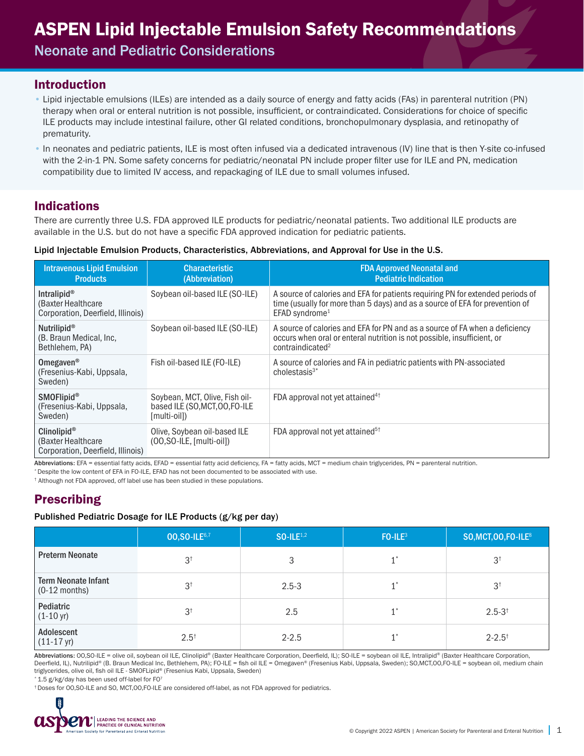# ASPEN Lipid Injectable Emulsion Safety Recommendations

Neonate and Pediatric Considerations

#### Introduction

- Lipid injectable emulsions (ILEs) are intended as a daily source of energy and fatty acids (FAs) in parenteral nutrition (PN) therapy when oral or enteral nutrition is not possible, insufficient, or contraindicated. Considerations for choice of specific ILE products may include intestinal failure, other GI related conditions, bronchopulmonary dysplasia, and retinopathy of prematurity.
- In neonates and pediatric patients, ILE is most often infused via a dedicated intravenous (IV) line that is then Y-site co-infused with the 2-in-1 PN. Some safety concerns for pediatric/neonatal PN include proper filter use for ILE and PN, medication compatibility due to limited IV access, and repackaging of ILE due to small volumes infused.

### Indications

There are currently three U.S. FDA approved ILE products for pediatric/neonatal patients. Two additional ILE products are available in the U.S. but do not have a specific FDA approved indication for pediatric patients.

#### Lipid Injectable Emulsion Products, Characteristics, Abbreviations, and Approval for Use in the U.S.

| <b>Intravenous Lipid Emulsion</b><br><b>Products</b>                               | <b>Characteristic</b><br>(Abbreviation)                                          | <b>FDA Approved Neonatal and</b><br><b>Pediatric Indication</b>                                                                                                                              |
|------------------------------------------------------------------------------------|----------------------------------------------------------------------------------|----------------------------------------------------------------------------------------------------------------------------------------------------------------------------------------------|
| Intralipid <sup>®</sup><br>(Baxter Healthcare<br>Corporation, Deerfield, Illinois) | Soybean oil-based ILE (SO-ILE)                                                   | A source of calories and EFA for patients requiring PN for extended periods of<br>time (usually for more than 5 days) and as a source of EFA for prevention of<br>EFAD syndrome <sup>1</sup> |
| Nutrilipid <sup>®</sup><br>(B. Braun Medical, Inc.<br>Bethlehem, PA)               | Soybean oil-based ILE (SO-ILE)                                                   | A source of calories and EFA for PN and as a source of FA when a deficiency<br>occurs when oral or enteral nutrition is not possible, insufficient, or<br>contraindicated <sup>2</sup>       |
| Omegaven <sup>®</sup><br>(Fresenius-Kabi, Uppsala,<br>Sweden)                      | Fish oil-based ILE (FO-ILE)                                                      | A source of calories and FA in pediatric patients with PN-associated<br>cholestasis $3^*$                                                                                                    |
| SMOFlipid®<br>(Fresenius-Kabi, Uppsala,<br>Sweden)                                 | Soybean, MCT, Olive, Fish oil-<br>based ILE (SO, MCT, 00, FO-ILE<br>[multi-oil]) | FDA approval not yet attained <sup>4†</sup>                                                                                                                                                  |
| Clinolipid <sup>®</sup><br>(Baxter Healthcare<br>Corporation, Deerfield, Illinois) | Olive, Soybean oil-based ILE<br>(00, SO-ILE, [multi-oil])                        | FDA approval not yet attained <sup>5†</sup>                                                                                                                                                  |

Abbreviations: EFA = essential fatty acids, EFAD = essential fatty acid deficiency, FA = fatty acids, MCT = medium chain triglycerides, PN = parenteral nutrition.

\* Despite the low content of EFA in FO-ILE, EFAD has not been documented to be associated with use.

† Although not FDA approved, off label use has been studied in these populations.

## Prescribing

#### Published Pediatric Dosage for ILE Products (g/kg per day)

|                                               | 00, SO-ILE6,7   | $SO-ILE^{1,2}$ | $FO-ILE3$ | SO, MCT, OO, FO-ILE <sup>8</sup> |
|-----------------------------------------------|-----------------|----------------|-----------|----------------------------------|
| <b>Preterm Neonate</b>                        | 3 <sup>†</sup>  | 3              | $1^*$     | 3 <sup>†</sup>                   |
| <b>Term Neonate Infant</b><br>$(0-12$ months) | 3 <sup>†</sup>  | $2.5 - 3$      | $1*$      | 3 <sup>†</sup>                   |
| Pediatric<br>$(1-10 \text{ yr})$              | 3 <sup>†</sup>  | 2.5            | $1^*$     | $2.5 - 3^{+}$                    |
| Adolescent<br>$(11-17 \text{ yr})$            | $2.5^{\dagger}$ | $2 - 2.5$      | $1*$      | $2 - 2.5$ <sup>†</sup>           |

Abbreviations: OO,SO-ILE = olive oil, soybean oil ILE, Clinolipid® (Baxter Healthcare Corporation, Deerfield, IL); SO-ILE = soybean oil ILE, Intralipid® (Baxter Healthcare Corporation, Deerfield, IL), Nutrilipid® (B. Braun Medical Inc, Bethlehem, PA); FO-ILE = fish oil ILE = Omegaven® (Fresenius Kabi, Uppsala, Sweden); SO,MCT,OO,FO-ILE = soybean oil, medium chain triglycerides, olive oil, fish oil ILE - SMOFLipid® (Fresenius Kabi, Uppsala, Sweden)

 $*$  1.5 g/kg/day has been used off-label for FO $^7$ 

† Doses for OO,SO-ILE and SO, MCT,OO,FO-ILE are considered off-label, as not FDA approved for pediatrics.